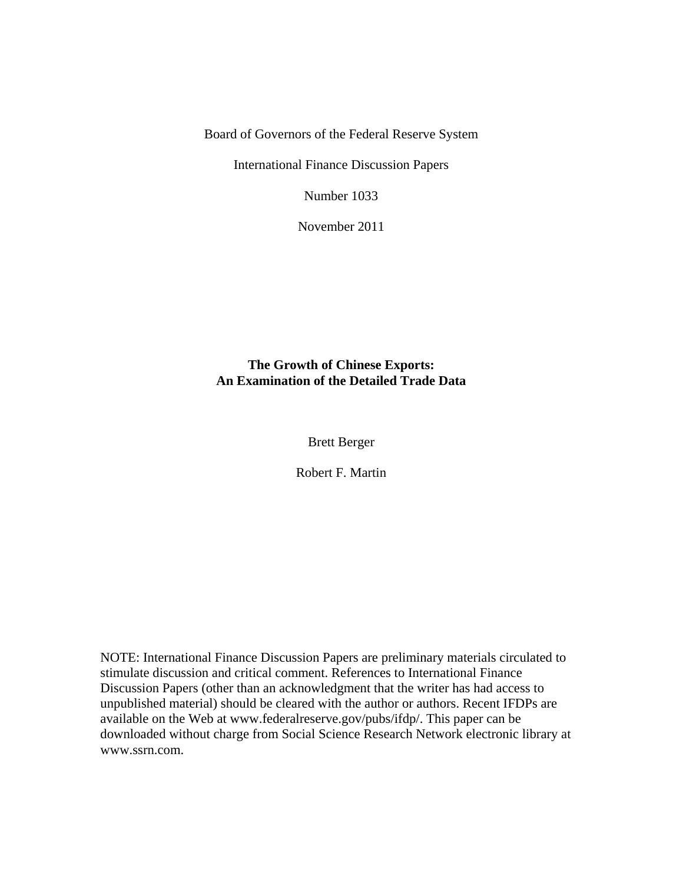Board of Governors of the Federal Reserve System

International Finance Discussion Papers

Number 1033

November 2011

# **The Growth of Chinese Exports: An Examination of the Detailed Trade Data**

Brett Berger

Robert F. Martin

NOTE: International Finance Discussion Papers are preliminary materials circulated to stimulate discussion and critical comment. References to International Finance Discussion Papers (other than an acknowledgment that the writer has had access to unpublished material) should be cleared with the author or authors. Recent IFDPs are available on the Web at www.federalreserve.gov/pubs/ifdp/. This paper can be downloaded without charge from Social Science Research Network electronic library at www.ssrn.com.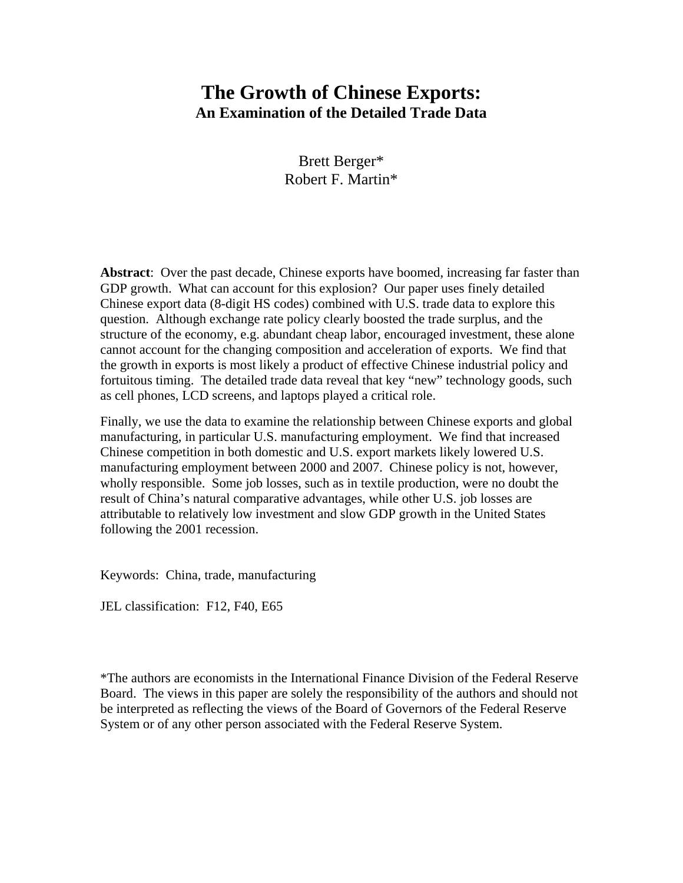# **The Growth of Chinese Exports: An Examination of the Detailed Trade Data**

Brett Berger\* Robert F. Martin\*

**Abstract**: Over the past decade, Chinese exports have boomed, increasing far faster than GDP growth. What can account for this explosion? Our paper uses finely detailed Chinese export data (8-digit HS codes) combined with U.S. trade data to explore this question. Although exchange rate policy clearly boosted the trade surplus, and the structure of the economy, e.g. abundant cheap labor, encouraged investment, these alone cannot account for the changing composition and acceleration of exports. We find that the growth in exports is most likely a product of effective Chinese industrial policy and fortuitous timing. The detailed trade data reveal that key "new" technology goods, such as cell phones, LCD screens, and laptops played a critical role.

Finally, we use the data to examine the relationship between Chinese exports and global manufacturing, in particular U.S. manufacturing employment. We find that increased Chinese competition in both domestic and U.S. export markets likely lowered U.S. manufacturing employment between 2000 and 2007. Chinese policy is not, however, wholly responsible. Some job losses, such as in textile production, were no doubt the result of China's natural comparative advantages, while other U.S. job losses are attributable to relatively low investment and slow GDP growth in the United States following the 2001 recession.

Keywords: China, trade, manufacturing

JEL classification: F12, F40, E65

\*The authors are economists in the International Finance Division of the Federal Reserve Board. The views in this paper are solely the responsibility of the authors and should not be interpreted as reflecting the views of the Board of Governors of the Federal Reserve System or of any other person associated with the Federal Reserve System.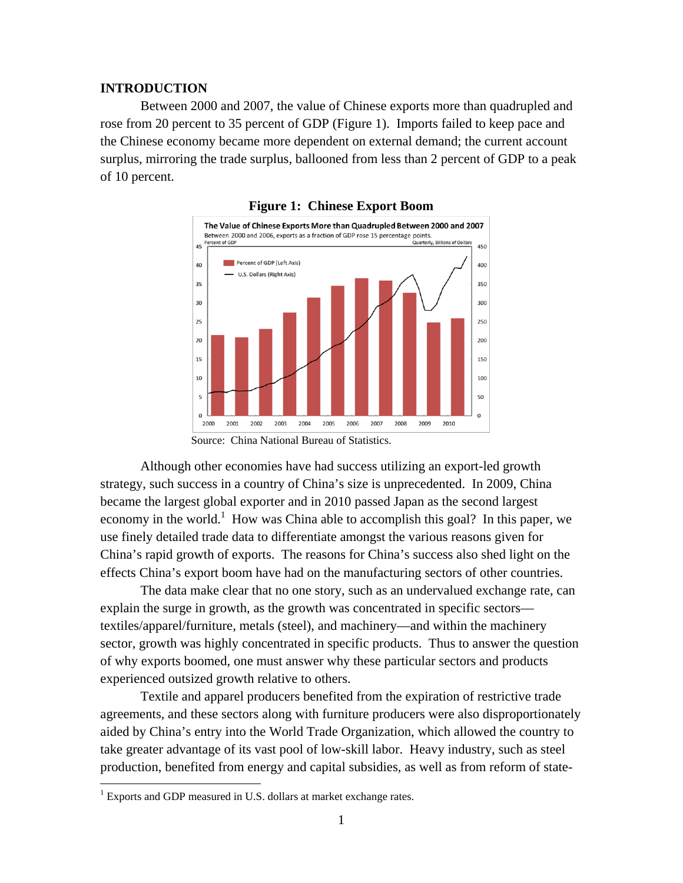#### **INTRODUCTION**

Between 2000 and 2007, the value of Chinese exports more than quadrupled and rose from 20 percent to 35 percent of GDP (Figure 1). Imports failed to keep pace and the Chinese economy became more dependent on external demand; the current account surplus, mirroring the trade surplus, ballooned from less than 2 percent of GDP to a peak of 10 percent.





Although other economies have had success utilizing an export-led growth strategy, such success in a country of China's size is unprecedented. In 2009, China became the largest global exporter and in 2010 passed Japan as the second largest economy in the world.<sup>1</sup> How was China able to accomplish this goal? In this paper, we use finely detailed trade data to differentiate amongst the various reasons given for China's rapid growth of exports. The reasons for China's success also shed light on the effects China's export boom have had on the manufacturing sectors of other countries.

The data make clear that no one story, such as an undervalued exchange rate, can explain the surge in growth, as the growth was concentrated in specific sectors textiles/apparel/furniture, metals (steel), and machinery—and within the machinery sector, growth was highly concentrated in specific products. Thus to answer the question of why exports boomed, one must answer why these particular sectors and products experienced outsized growth relative to others.

Textile and apparel producers benefited from the expiration of restrictive trade agreements, and these sectors along with furniture producers were also disproportionately aided by China's entry into the World Trade Organization, which allowed the country to take greater advantage of its vast pool of low-skill labor. Heavy industry, such as steel production, benefited from energy and capital subsidies, as well as from reform of state-

<u>.</u>

Source: China National Bureau of Statistics.

<sup>&</sup>lt;sup>1</sup> Exports and GDP measured in U.S. dollars at market exchange rates.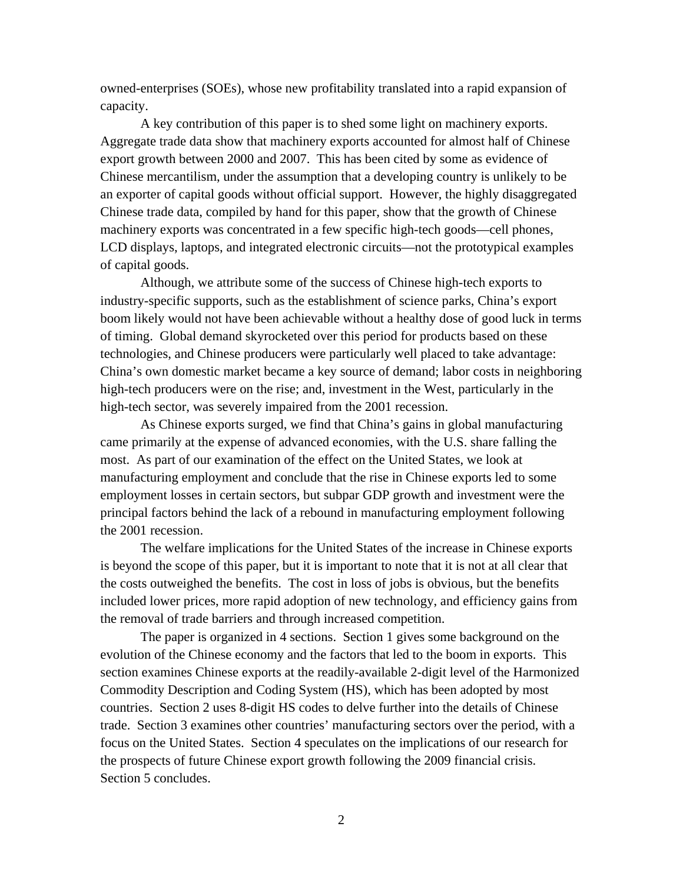owned-enterprises (SOEs), whose new profitability translated into a rapid expansion of capacity.

A key contribution of this paper is to shed some light on machinery exports. Aggregate trade data show that machinery exports accounted for almost half of Chinese export growth between 2000 and 2007. This has been cited by some as evidence of Chinese mercantilism, under the assumption that a developing country is unlikely to be an exporter of capital goods without official support. However, the highly disaggregated Chinese trade data, compiled by hand for this paper, show that the growth of Chinese machinery exports was concentrated in a few specific high-tech goods—cell phones, LCD displays, laptops, and integrated electronic circuits—not the prototypical examples of capital goods.

Although, we attribute some of the success of Chinese high-tech exports to industry-specific supports, such as the establishment of science parks, China's export boom likely would not have been achievable without a healthy dose of good luck in terms of timing. Global demand skyrocketed over this period for products based on these technologies, and Chinese producers were particularly well placed to take advantage: China's own domestic market became a key source of demand; labor costs in neighboring high-tech producers were on the rise; and, investment in the West, particularly in the high-tech sector, was severely impaired from the 2001 recession.

As Chinese exports surged, we find that China's gains in global manufacturing came primarily at the expense of advanced economies, with the U.S. share falling the most. As part of our examination of the effect on the United States, we look at manufacturing employment and conclude that the rise in Chinese exports led to some employment losses in certain sectors, but subpar GDP growth and investment were the principal factors behind the lack of a rebound in manufacturing employment following the 2001 recession.

The welfare implications for the United States of the increase in Chinese exports is beyond the scope of this paper, but it is important to note that it is not at all clear that the costs outweighed the benefits. The cost in loss of jobs is obvious, but the benefits included lower prices, more rapid adoption of new technology, and efficiency gains from the removal of trade barriers and through increased competition.

The paper is organized in 4 sections. Section 1 gives some background on the evolution of the Chinese economy and the factors that led to the boom in exports. This section examines Chinese exports at the readily-available 2-digit level of the Harmonized Commodity Description and Coding System (HS), which has been adopted by most countries. Section 2 uses 8-digit HS codes to delve further into the details of Chinese trade. Section 3 examines other countries' manufacturing sectors over the period, with a focus on the United States. Section 4 speculates on the implications of our research for the prospects of future Chinese export growth following the 2009 financial crisis. Section 5 concludes.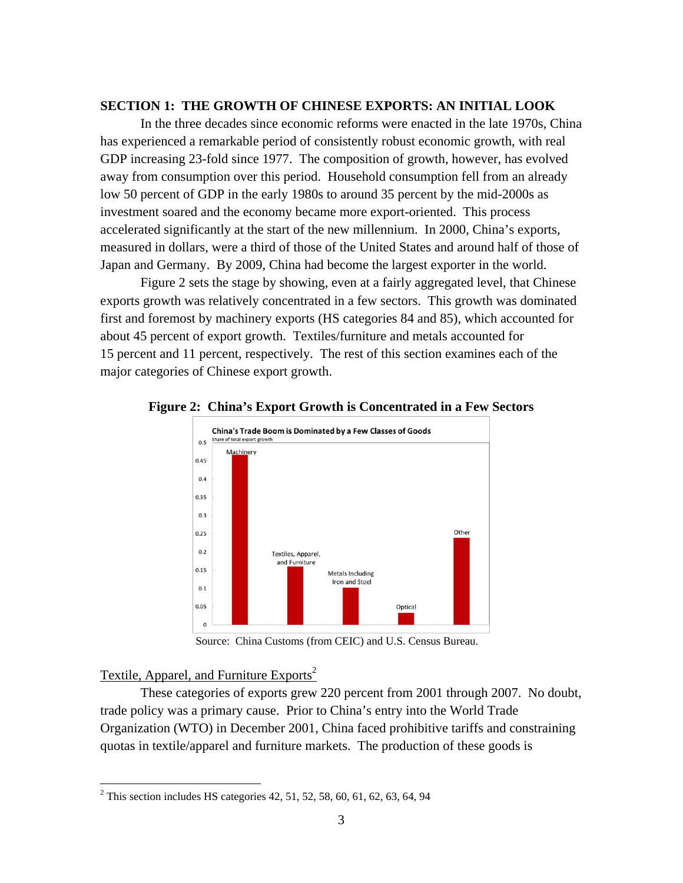## **SECTION 1: THE GROWTH OF CHINESE EXPORTS: AN INITIAL LOOK**

In the three decades since economic reforms were enacted in the late 1970s, China has experienced a remarkable period of consistently robust economic growth, with real GDP increasing 23-fold since 1977. The composition of growth, however, has evolved away from consumption over this period. Household consumption fell from an already low 50 percent of GDP in the early 1980s to around 35 percent by the mid-2000s as investment soared and the economy became more export-oriented. This process accelerated significantly at the start of the new millennium. In 2000, China's exports, measured in dollars, were a third of those of the United States and around half of those of Japan and Germany. By 2009, China had become the largest exporter in the world.

Figure 2 sets the stage by showing, even at a fairly aggregated level, that Chinese exports growth was relatively concentrated in a few sectors. This growth was dominated first and foremost by machinery exports (HS categories 84 and 85), which accounted for about 45 percent of export growth. Textiles/furniture and metals accounted for 15 percent and 11 percent, respectively. The rest of this section examines each of the major categories of Chinese export growth.



#### **Figure 2: China's Export Growth is Concentrated in a Few Sectors**

Source: China Customs (from CEIC) and U.S. Census Bureau.

# Textile, Apparel, and Furniture Exports<sup>2</sup>

<u>.</u>

These categories of exports grew 220 percent from 2001 through 2007. No doubt, trade policy was a primary cause. Prior to China's entry into the World Trade Organization (WTO) in December 2001, China faced prohibitive tariffs and constraining quotas in textile/apparel and furniture markets. The production of these goods is

<sup>&</sup>lt;sup>2</sup> This section includes HS categories 42, 51, 52, 58, 60, 61, 62, 63, 64, 94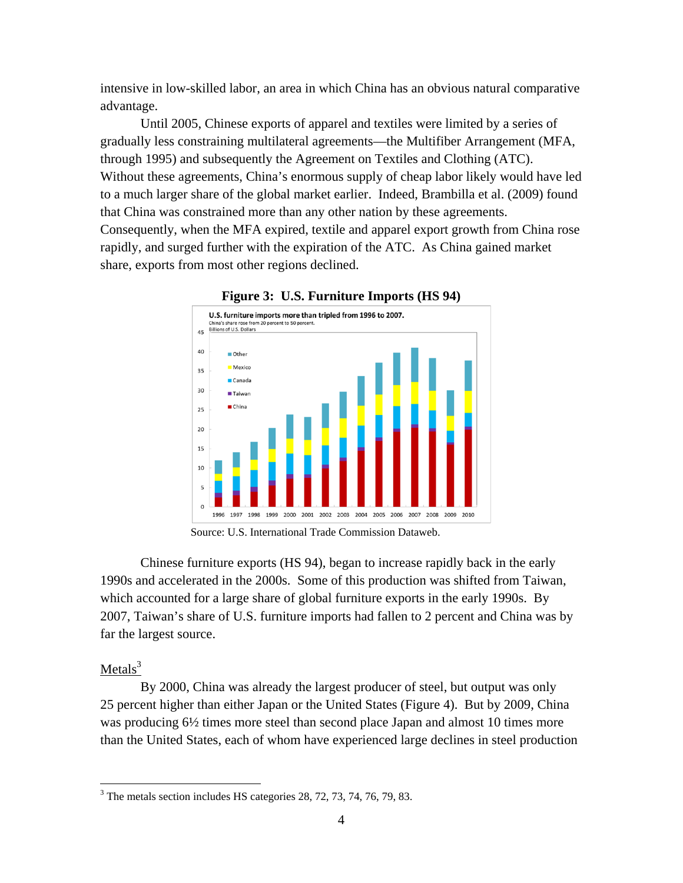intensive in low-skilled labor, an area in which China has an obvious natural comparative advantage.

Until 2005, Chinese exports of apparel and textiles were limited by a series of gradually less constraining multilateral agreements—the Multifiber Arrangement (MFA, through 1995) and subsequently the Agreement on Textiles and Clothing (ATC). Without these agreements, China's enormous supply of cheap labor likely would have led to a much larger share of the global market earlier. Indeed, Brambilla et al. (2009) found that China was constrained more than any other nation by these agreements. Consequently, when the MFA expired, textile and apparel export growth from China rose rapidly, and surged further with the expiration of the ATC. As China gained market share, exports from most other regions declined.



**Figure 3: U.S. Furniture Imports (HS 94)** 

Source: U.S. International Trade Commission Dataweb.

Chinese furniture exports (HS 94), began to increase rapidly back in the early 1990s and accelerated in the 2000s. Some of this production was shifted from Taiwan, which accounted for a large share of global furniture exports in the early 1990s. By 2007, Taiwan's share of U.S. furniture imports had fallen to 2 percent and China was by far the largest source.

# Metal $s^3$

 $\overline{a}$ 

By 2000, China was already the largest producer of steel, but output was only 25 percent higher than either Japan or the United States (Figure 4). But by 2009, China was producing  $6\frac{1}{2}$  times more steel than second place Japan and almost 10 times more than the United States, each of whom have experienced large declines in steel production

<sup>&</sup>lt;sup>3</sup> The metals section includes HS categories 28, 72, 73, 74, 76, 79, 83.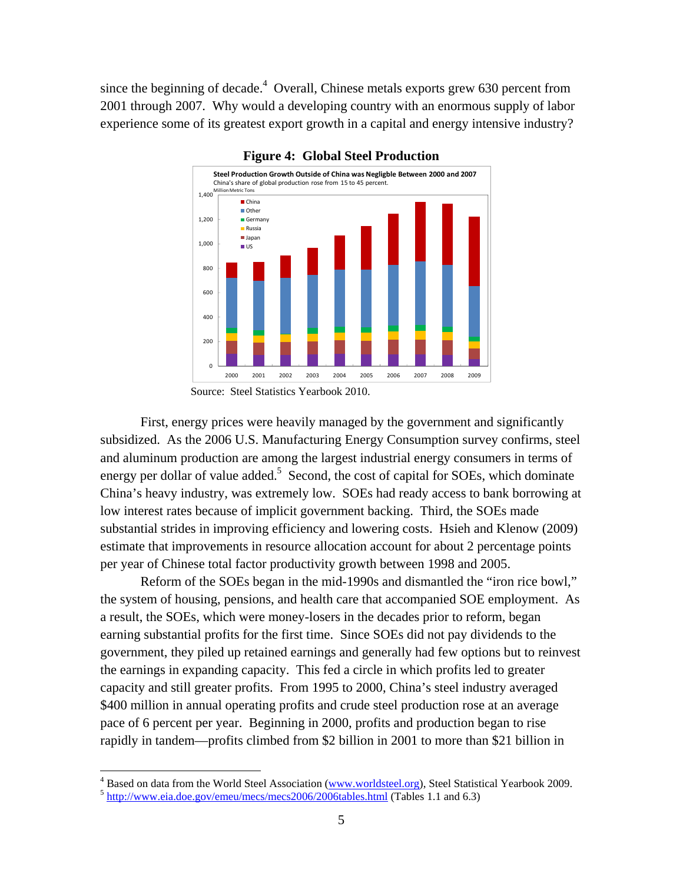since the beginning of decade. $4$  Overall, Chinese metals exports grew 630 percent from 2001 through 2007. Why would a developing country with an enormous supply of labor experience some of its greatest export growth in a capital and energy intensive industry?



#### **Figure 4: Global Steel Production**

First, energy prices were heavily managed by the government and significantly subsidized. As the 2006 U.S. Manufacturing Energy Consumption survey confirms, steel and aluminum production are among the largest industrial energy consumers in terms of energy per dollar of value added.<sup>5</sup> Second, the cost of capital for SOEs, which dominate China's heavy industry, was extremely low. SOEs had ready access to bank borrowing at low interest rates because of implicit government backing. Third, the SOEs made substantial strides in improving efficiency and lowering costs. Hsieh and Klenow (2009) estimate that improvements in resource allocation account for about 2 percentage points per year of Chinese total factor productivity growth between 1998 and 2005.

Reform of the SOEs began in the mid-1990s and dismantled the "iron rice bowl," the system of housing, pensions, and health care that accompanied SOE employment. As a result, the SOEs, which were money-losers in the decades prior to reform, began earning substantial profits for the first time. Since SOEs did not pay dividends to the government, they piled up retained earnings and generally had few options but to reinvest the earnings in expanding capacity. This fed a circle in which profits led to greater capacity and still greater profits. From 1995 to 2000, China's steel industry averaged \$400 million in annual operating profits and crude steel production rose at an average pace of 6 percent per year. Beginning in 2000, profits and production began to rise rapidly in tandem—profits climbed from \$2 billion in 2001 to more than \$21 billion in

 $\overline{a}$ 

Source: Steel Statistics Yearbook 2010.

<sup>&</sup>lt;sup>4</sup> Based on data from the World Steel Association (www.worldsteel.org), Steel Statistical Yearbook 2009.<br><sup>5</sup> http://www.eia.doe.gov/emeu/mecs/mecs2006/2006tables.html (Tables 1.1 and 6.3)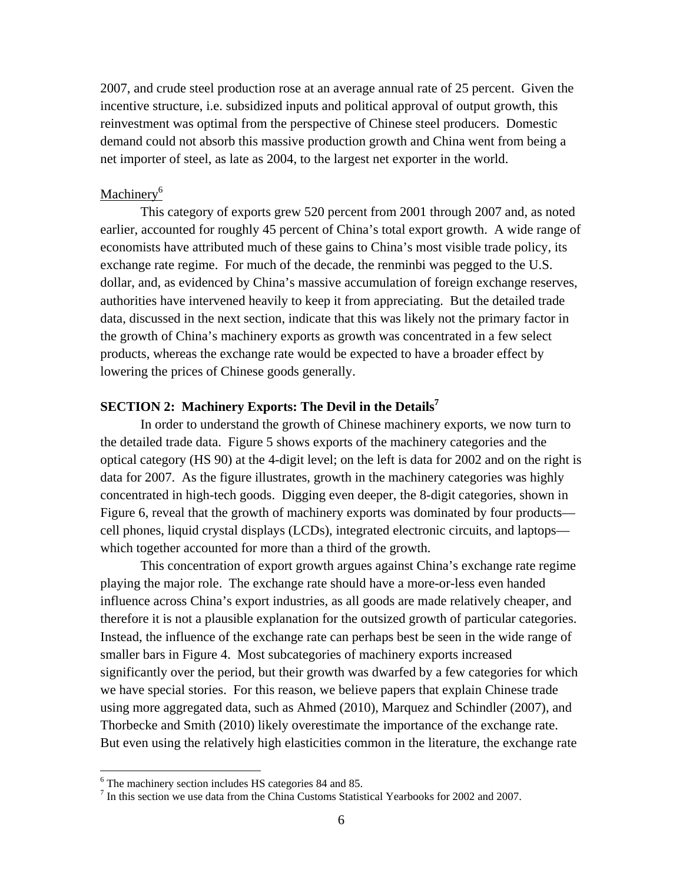2007, and crude steel production rose at an average annual rate of 25 percent. Given the incentive structure, i.e. subsidized inputs and political approval of output growth, this reinvestment was optimal from the perspective of Chinese steel producers. Domestic demand could not absorb this massive production growth and China went from being a net importer of steel, as late as 2004, to the largest net exporter in the world.

## Machinery<sup>6</sup>

This category of exports grew 520 percent from 2001 through 2007 and, as noted earlier, accounted for roughly 45 percent of China's total export growth. A wide range of economists have attributed much of these gains to China's most visible trade policy, its exchange rate regime. For much of the decade, the renminbi was pegged to the U.S. dollar, and, as evidenced by China's massive accumulation of foreign exchange reserves, authorities have intervened heavily to keep it from appreciating. But the detailed trade data, discussed in the next section, indicate that this was likely not the primary factor in the growth of China's machinery exports as growth was concentrated in a few select products, whereas the exchange rate would be expected to have a broader effect by lowering the prices of Chinese goods generally.

# **SECTION 2: Machinery Exports: The Devil in the Details7**

In order to understand the growth of Chinese machinery exports, we now turn to the detailed trade data. Figure 5 shows exports of the machinery categories and the optical category (HS 90) at the 4-digit level; on the left is data for 2002 and on the right is data for 2007. As the figure illustrates, growth in the machinery categories was highly concentrated in high-tech goods. Digging even deeper, the 8-digit categories, shown in Figure 6, reveal that the growth of machinery exports was dominated by four products cell phones, liquid crystal displays (LCDs), integrated electronic circuits, and laptops which together accounted for more than a third of the growth.

This concentration of export growth argues against China's exchange rate regime playing the major role. The exchange rate should have a more-or-less even handed influence across China's export industries, as all goods are made relatively cheaper, and therefore it is not a plausible explanation for the outsized growth of particular categories. Instead, the influence of the exchange rate can perhaps best be seen in the wide range of smaller bars in Figure 4. Most subcategories of machinery exports increased significantly over the period, but their growth was dwarfed by a few categories for which we have special stories. For this reason, we believe papers that explain Chinese trade using more aggregated data, such as Ahmed (2010), Marquez and Schindler (2007), and Thorbecke and Smith (2010) likely overestimate the importance of the exchange rate. But even using the relatively high elasticities common in the literature, the exchange rate

 $\overline{a}$ 

 $^6$  The machinery section includes HS categories 84 and 85.

 $<sup>7</sup>$  In this section we use data from the China Customs Statistical Yearbooks for 2002 and 2007.</sup>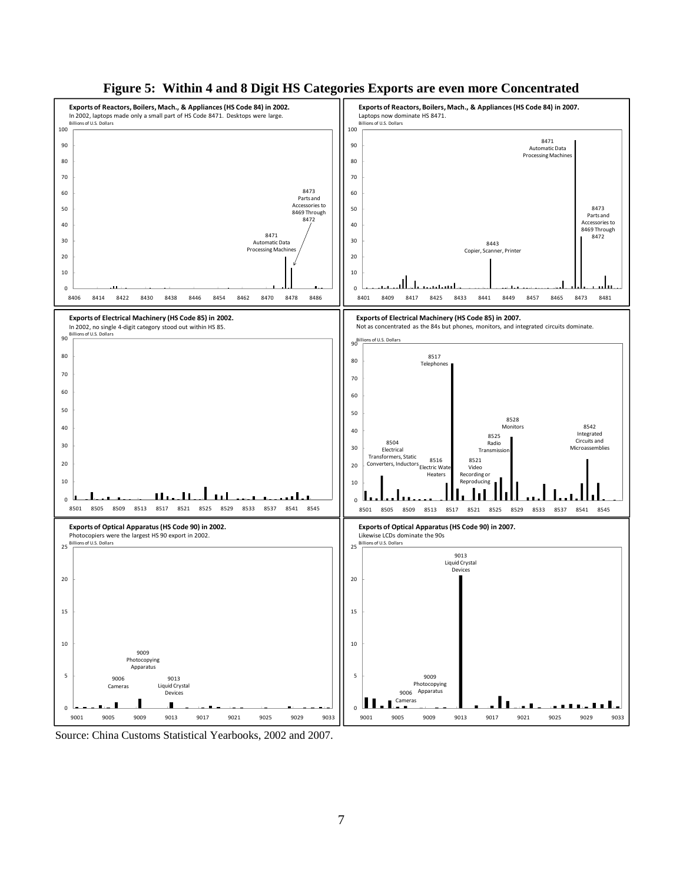

#### **Figure 5: Within 4 and 8 Digit HS Categories Exports are even more Concentrated**

Source: China Customs Statistical Yearbooks, 2002 and 2007.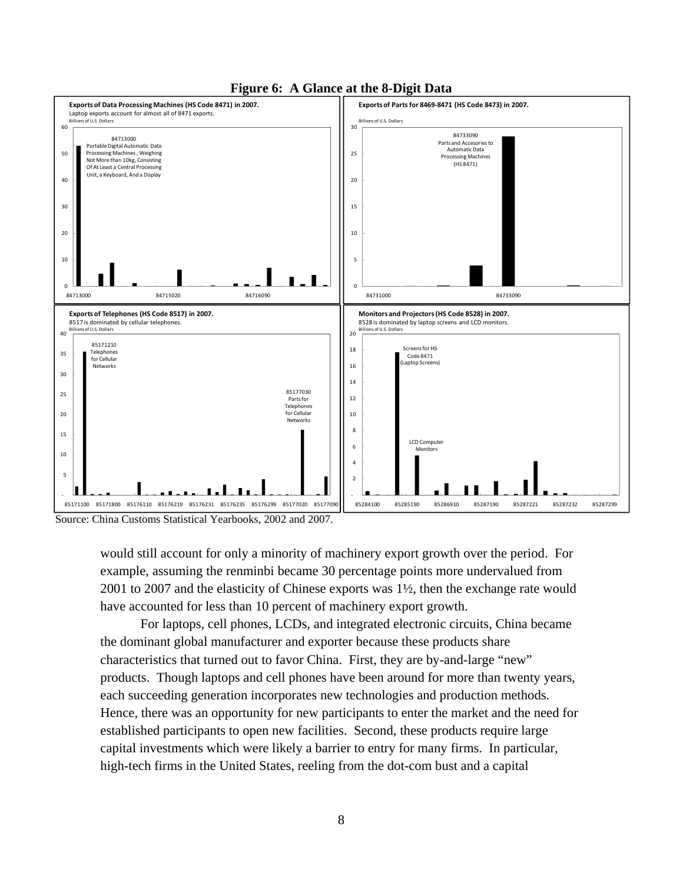



Source: China Customs Statistical Yearbooks, 2002 and 2007.

would still account for only a minority of machinery export growth over the period. For example, assuming the renminbi became 30 percentage points more undervalued from 2001 to 2007 and the elasticity of Chinese exports was 1½, then the exchange rate would have accounted for less than 10 percent of machinery export growth.

For laptops, cell phones, LCDs, and integrated electronic circuits, China became the dominant global manufacturer and exporter because these products share characteristics that turned out to favor China. First, they are by-and-large "new" products. Though laptops and cell phones have been around for more than twenty years, each succeeding generation incorporates new technologies and production methods. Hence, there was an opportunity for new participants to enter the market and the need for established participants to open new facilities. Second, these products require large capital investments which were likely a barrier to entry for many firms. In particular, high-tech firms in the United States, reeling from the dot-com bust and a capital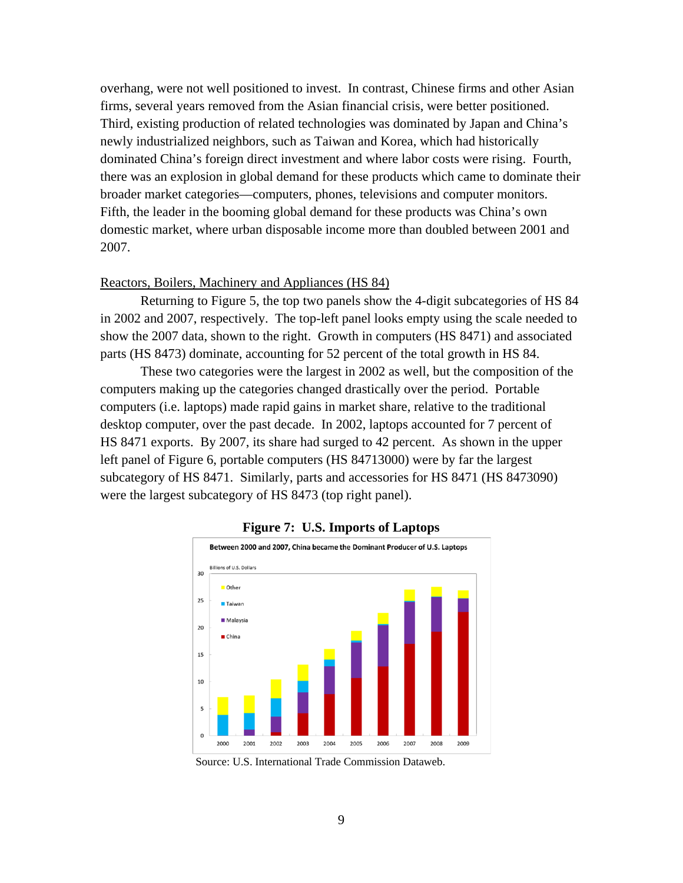overhang, were not well positioned to invest. In contrast, Chinese firms and other Asian firms, several years removed from the Asian financial crisis, were better positioned. Third, existing production of related technologies was dominated by Japan and China's newly industrialized neighbors, such as Taiwan and Korea, which had historically dominated China's foreign direct investment and where labor costs were rising. Fourth, there was an explosion in global demand for these products which came to dominate their broader market categories—computers, phones, televisions and computer monitors. Fifth, the leader in the booming global demand for these products was China's own domestic market, where urban disposable income more than doubled between 2001 and 2007.

#### Reactors, Boilers, Machinery and Appliances (HS 84)

Returning to Figure 5, the top two panels show the 4-digit subcategories of HS 84 in 2002 and 2007, respectively. The top-left panel looks empty using the scale needed to show the 2007 data, shown to the right. Growth in computers (HS 8471) and associated parts (HS 8473) dominate, accounting for 52 percent of the total growth in HS 84.

These two categories were the largest in 2002 as well, but the composition of the computers making up the categories changed drastically over the period. Portable computers (i.e. laptops) made rapid gains in market share, relative to the traditional desktop computer, over the past decade. In 2002, laptops accounted for 7 percent of HS 8471 exports. By 2007, its share had surged to 42 percent. As shown in the upper left panel of Figure 6, portable computers (HS 84713000) were by far the largest subcategory of HS 8471. Similarly, parts and accessories for HS 8471 (HS 8473090) were the largest subcategory of HS 8473 (top right panel).





Source: U.S. International Trade Commission Dataweb.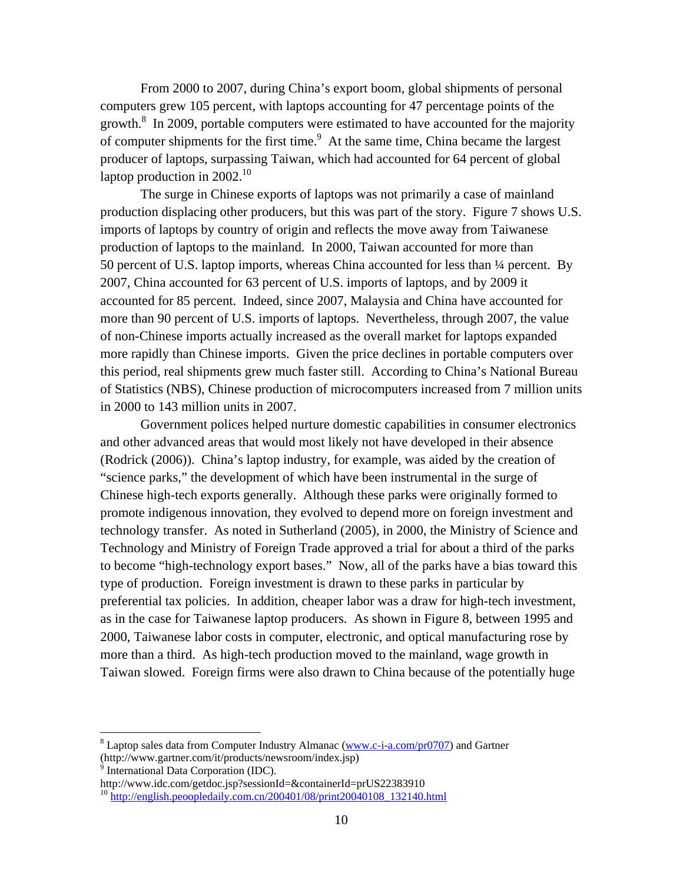From 2000 to 2007, during China's export boom, global shipments of personal computers grew 105 percent, with laptops accounting for 47 percentage points of the growth. $8 \text{ In } 2009$ , portable computers were estimated to have accounted for the majority of computer shipments for the first time.<sup>9</sup> At the same time, China became the largest producer of laptops, surpassing Taiwan, which had accounted for 64 percent of global laptop production in  $2002.<sup>10</sup>$ 

The surge in Chinese exports of laptops was not primarily a case of mainland production displacing other producers, but this was part of the story. Figure 7 shows U.S. imports of laptops by country of origin and reflects the move away from Taiwanese production of laptops to the mainland. In 2000, Taiwan accounted for more than 50 percent of U.S. laptop imports, whereas China accounted for less than ¼ percent. By 2007, China accounted for 63 percent of U.S. imports of laptops, and by 2009 it accounted for 85 percent. Indeed, since 2007, Malaysia and China have accounted for more than 90 percent of U.S. imports of laptops. Nevertheless, through 2007, the value of non-Chinese imports actually increased as the overall market for laptops expanded more rapidly than Chinese imports. Given the price declines in portable computers over this period, real shipments grew much faster still. According to China's National Bureau of Statistics (NBS), Chinese production of microcomputers increased from 7 million units in 2000 to 143 million units in 2007.

Government polices helped nurture domestic capabilities in consumer electronics and other advanced areas that would most likely not have developed in their absence (Rodrick (2006)). China's laptop industry, for example, was aided by the creation of "science parks," the development of which have been instrumental in the surge of Chinese high-tech exports generally. Although these parks were originally formed to promote indigenous innovation, they evolved to depend more on foreign investment and technology transfer. As noted in Sutherland (2005), in 2000, the Ministry of Science and Technology and Ministry of Foreign Trade approved a trial for about a third of the parks to become "high-technology export bases." Now, all of the parks have a bias toward this type of production. Foreign investment is drawn to these parks in particular by preferential tax policies. In addition, cheaper labor was a draw for high-tech investment, as in the case for Taiwanese laptop producers. As shown in Figure 8, between 1995 and 2000, Taiwanese labor costs in computer, electronic, and optical manufacturing rose by more than a third. As high-tech production moved to the mainland, wage growth in Taiwan slowed. Foreign firms were also drawn to China because of the potentially huge

 $\overline{a}$ 

<sup>&</sup>lt;sup>8</sup> Laptop sales data from Computer Industry Almanac (www.c-i-a.com/pr0707) and Gartner (http://www.gartner.com/it/products/newsroom/index.jsp) 9 International Data Corporation (IDC).

http://www.idc.com/getdoc.jsp?sessionId=&containerId=prUS22383910

 $^{10}$  http://english.peoopledaily.com.cn/200401/08/print20040108 132140.html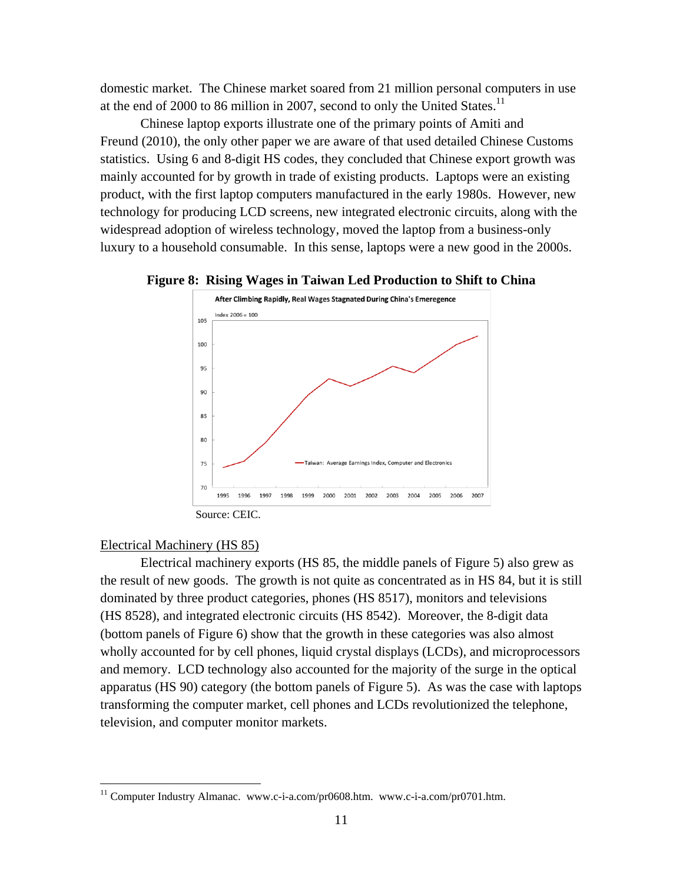domestic market. The Chinese market soared from 21 million personal computers in use at the end of 2000 to 86 million in 2007, second to only the United States.<sup>11</sup>

Chinese laptop exports illustrate one of the primary points of Amiti and Freund (2010), the only other paper we are aware of that used detailed Chinese Customs statistics. Using 6 and 8-digit HS codes, they concluded that Chinese export growth was mainly accounted for by growth in trade of existing products. Laptops were an existing product, with the first laptop computers manufactured in the early 1980s. However, new technology for producing LCD screens, new integrated electronic circuits, along with the widespread adoption of wireless technology, moved the laptop from a business-only luxury to a household consumable. In this sense, laptops were a new good in the 2000s.





## Electrical Machinery (HS 85)

<u>.</u>

Electrical machinery exports (HS 85, the middle panels of Figure 5) also grew as the result of new goods. The growth is not quite as concentrated as in HS 84, but it is still dominated by three product categories, phones (HS 8517), monitors and televisions (HS 8528), and integrated electronic circuits (HS 8542). Moreover, the 8-digit data (bottom panels of Figure 6) show that the growth in these categories was also almost wholly accounted for by cell phones, liquid crystal displays (LCDs), and microprocessors and memory. LCD technology also accounted for the majority of the surge in the optical apparatus (HS 90) category (the bottom panels of Figure 5). As was the case with laptops transforming the computer market, cell phones and LCDs revolutionized the telephone, television, and computer monitor markets.

<sup>&</sup>lt;sup>11</sup> Computer Industry Almanac. www.c-i-a.com/pr0608.htm. www.c-i-a.com/pr0701.htm.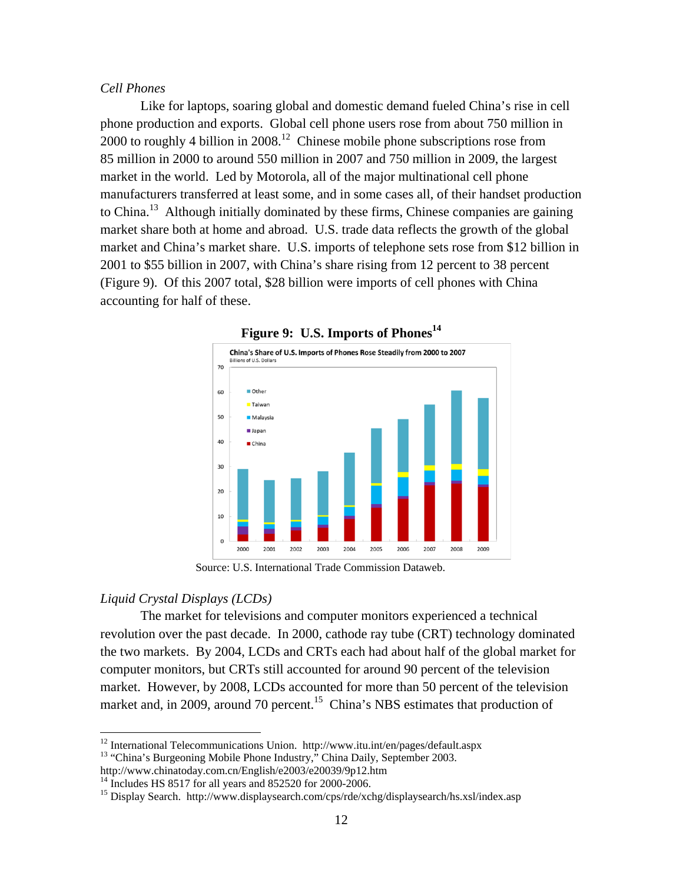#### *Cell Phones*

Like for laptops, soaring global and domestic demand fueled China's rise in cell phone production and exports. Global cell phone users rose from about 750 million in 2000 to roughly 4 billion in  $2008<sup>12</sup>$  Chinese mobile phone subscriptions rose from 85 million in 2000 to around 550 million in 2007 and 750 million in 2009, the largest market in the world. Led by Motorola, all of the major multinational cell phone manufacturers transferred at least some, and in some cases all, of their handset production to China.<sup>13</sup> Although initially dominated by these firms, Chinese companies are gaining market share both at home and abroad. U.S. trade data reflects the growth of the global market and China's market share. U.S. imports of telephone sets rose from \$12 billion in 2001 to \$55 billion in 2007, with China's share rising from 12 percent to 38 percent (Figure 9). Of this 2007 total, \$28 billion were imports of cell phones with China accounting for half of these.



**Figure 9: U.S. Imports of Phones<sup>14</sup>**

Source: U.S. International Trade Commission Dataweb.

## *Liquid Crystal Displays (LCDs)*

1

The market for televisions and computer monitors experienced a technical revolution over the past decade. In 2000, cathode ray tube (CRT) technology dominated the two markets. By 2004, LCDs and CRTs each had about half of the global market for computer monitors, but CRTs still accounted for around 90 percent of the television market. However, by 2008, LCDs accounted for more than 50 percent of the television market and, in 2009, around 70 percent.<sup>15</sup> China's NBS estimates that production of

 $12$  International Telecommunications Union. http://www.itu.int/en/pages/default.aspx <sup>13</sup> "China's Burgeoning Mobile Phone Industry," China Daily, September 2003.

http://www.chinatoday.com.cn/English/e2003/e20039/9p12.htm

 $14$  Includes HS 8517 for all years and 852520 for 2000-2006.

<sup>&</sup>lt;sup>15</sup> Display Search. http://www.displaysearch.com/cps/rde/xchg/displaysearch/hs.xsl/index.asp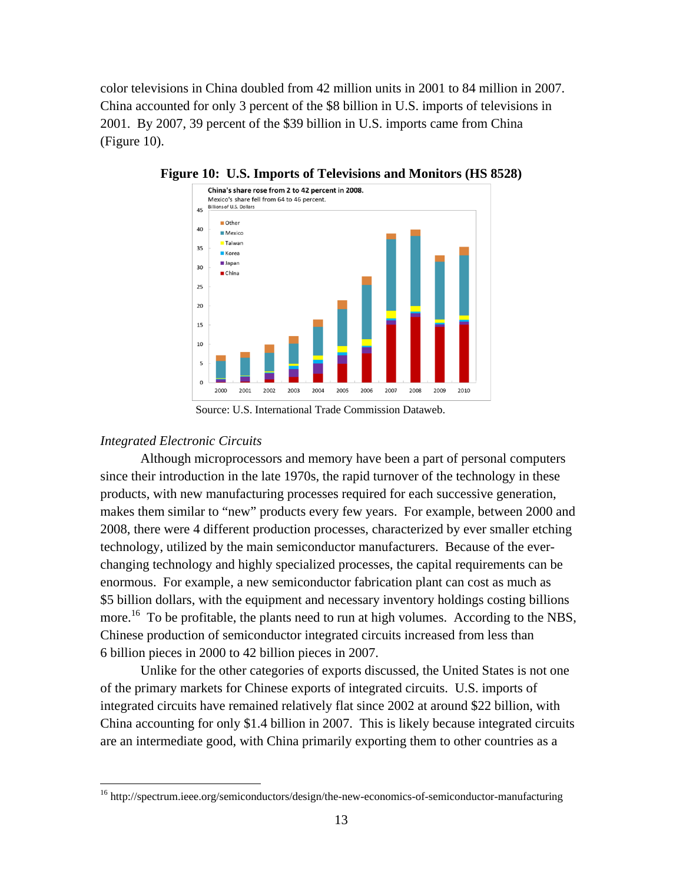color televisions in China doubled from 42 million units in 2001 to 84 million in 2007. China accounted for only 3 percent of the \$8 billion in U.S. imports of televisions in 2001. By 2007, 39 percent of the \$39 billion in U.S. imports came from China (Figure 10).



**Figure 10: U.S. Imports of Televisions and Monitors (HS 8528)** 

# *Integrated Electronic Circuits*

<u>.</u>

Although microprocessors and memory have been a part of personal computers since their introduction in the late 1970s, the rapid turnover of the technology in these products, with new manufacturing processes required for each successive generation, makes them similar to "new" products every few years. For example, between 2000 and 2008, there were 4 different production processes, characterized by ever smaller etching technology, utilized by the main semiconductor manufacturers. Because of the everchanging technology and highly specialized processes, the capital requirements can be enormous. For example, a new semiconductor fabrication plant can cost as much as \$5 billion dollars, with the equipment and necessary inventory holdings costing billions more.<sup>16</sup> To be profitable, the plants need to run at high volumes. According to the NBS, Chinese production of semiconductor integrated circuits increased from less than 6 billion pieces in 2000 to 42 billion pieces in 2007.

Unlike for the other categories of exports discussed, the United States is not one of the primary markets for Chinese exports of integrated circuits. U.S. imports of integrated circuits have remained relatively flat since 2002 at around \$22 billion, with China accounting for only \$1.4 billion in 2007. This is likely because integrated circuits are an intermediate good, with China primarily exporting them to other countries as a

Source: U.S. International Trade Commission Dataweb.

<sup>16</sup> http://spectrum.ieee.org/semiconductors/design/the-new-economics-of-semiconductor-manufacturing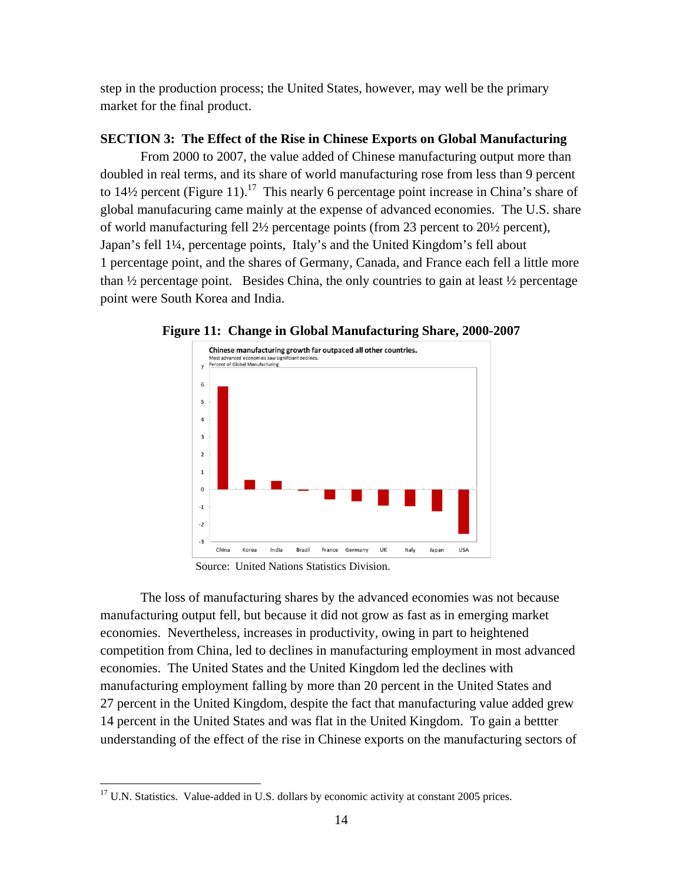step in the production process; the United States, however, may well be the primary market for the final product.

## **SECTION 3: The Effect of the Rise in Chinese Exports on Global Manufacturing**

From 2000 to 2007, the value added of Chinese manufacturing output more than doubled in real terms, and its share of world manufacturing rose from less than 9 percent to 14½ percent (Figure 11).<sup>17</sup> This nearly 6 percentage point increase in China's share of global manufacuring came mainly at the expense of advanced economies. The U.S. share of world manufacturing fell 2½ percentage points (from 23 percent to 20½ percent), Japan's fell 1¼, percentage points, Italy's and the United Kingdom's fell about 1 percentage point, and the shares of Germany, Canada, and France each fell a little more than  $\frac{1}{2}$  percentage point. Besides China, the only countries to gain at least  $\frac{1}{2}$  percentage point were South Korea and India.



**Figure 11: Change in Global Manufacturing Share, 2000-2007** 

The loss of manufacturing shares by the advanced economies was not because manufacturing output fell, but because it did not grow as fast as in emerging market economies. Nevertheless, increases in productivity, owing in part to heightened competition from China, led to declines in manufacturing employment in most advanced economies. The United States and the United Kingdom led the declines with manufacturing employment falling by more than 20 percent in the United States and 27 percent in the United Kingdom, despite the fact that manufacturing value added grew 14 percent in the United States and was flat in the United Kingdom. To gain a bettter understanding of the effect of the rise in Chinese exports on the manufacturing sectors of

<u>.</u>

Source: United Nations Statistics Division.

<sup>&</sup>lt;sup>17</sup> U.N. Statistics. Value-added in U.S. dollars by economic activity at constant 2005 prices.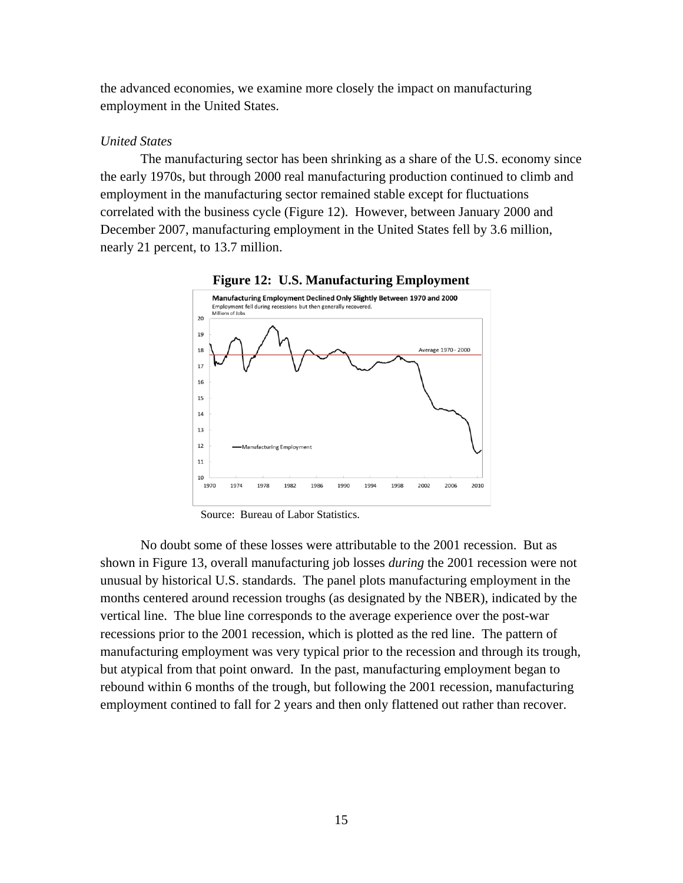the advanced economies, we examine more closely the impact on manufacturing employment in the United States.

#### *United States*

The manufacturing sector has been shrinking as a share of the U.S. economy since the early 1970s, but through 2000 real manufacturing production continued to climb and employment in the manufacturing sector remained stable except for fluctuations correlated with the business cycle (Figure 12). However, between January 2000 and December 2007, manufacturing employment in the United States fell by 3.6 million, nearly 21 percent, to 13.7 million.



**Figure 12: U.S. Manufacturing Employment** 

Source: Bureau of Labor Statistics.

No doubt some of these losses were attributable to the 2001 recession. But as shown in Figure 13, overall manufacturing job losses *during* the 2001 recession were not unusual by historical U.S. standards. The panel plots manufacturing employment in the months centered around recession troughs (as designated by the NBER), indicated by the vertical line. The blue line corresponds to the average experience over the post-war recessions prior to the 2001 recession, which is plotted as the red line. The pattern of manufacturing employment was very typical prior to the recession and through its trough, but atypical from that point onward. In the past, manufacturing employment began to rebound within 6 months of the trough, but following the 2001 recession, manufacturing employment contined to fall for 2 years and then only flattened out rather than recover.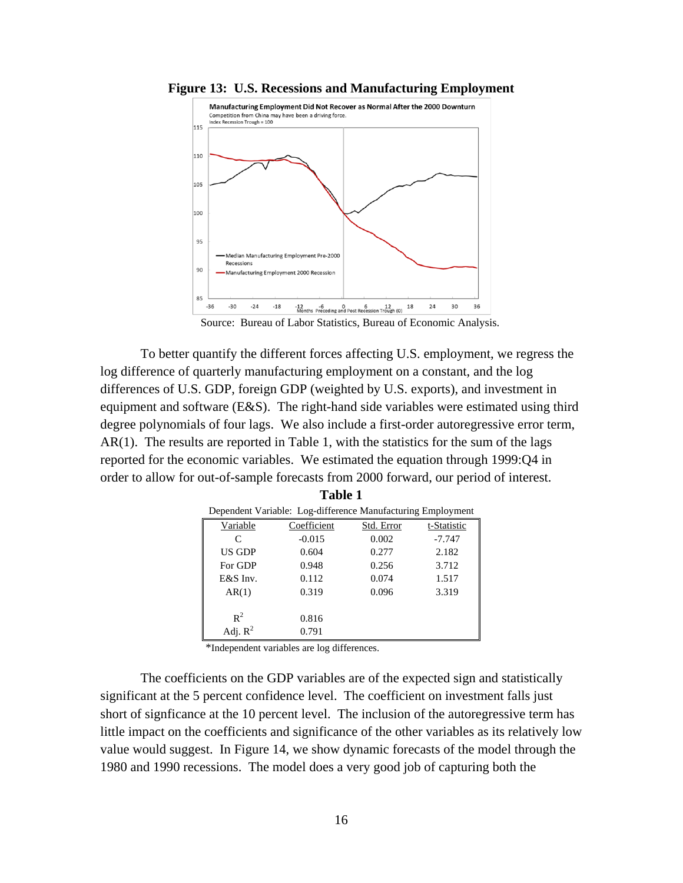

**Figure 13: U.S. Recessions and Manufacturing Employment** 

Source: Bureau of Labor Statistics, Bureau of Economic Analysis.

To better quantify the different forces affecting U.S. employment, we regress the log difference of quarterly manufacturing employment on a constant, and the log differences of U.S. GDP, foreign GDP (weighted by U.S. exports), and investment in equipment and software (E&S). The right-hand side variables were estimated using third degree polynomials of four lags. We also include a first-order autoregressive error term, AR(1). The results are reported in Table 1, with the statistics for the sum of the lags reported for the economic variables. We estimated the equation through 1999:Q4 in order to allow for out-of-sample forecasts from 2000 forward, our period of interest.

| Dependent Variable: Log-difference Manufacturing Employment |             |            |             |  |  |  |  |  |  |
|-------------------------------------------------------------|-------------|------------|-------------|--|--|--|--|--|--|
| Variable                                                    | Coefficient | Std. Error | t-Statistic |  |  |  |  |  |  |
| C                                                           | $-0.015$    | 0.002      | $-7.747$    |  |  |  |  |  |  |
| US GDP                                                      | 0.604       | 0.277      | 2.182       |  |  |  |  |  |  |
| For GDP                                                     | 0.948       | 0.256      | 3.712       |  |  |  |  |  |  |
| E&S Inv.                                                    | 0.112       | 0.074      | 1.517       |  |  |  |  |  |  |
| AR(1)                                                       | 0.319       | 0.096      | 3.319       |  |  |  |  |  |  |
|                                                             |             |            |             |  |  |  |  |  |  |
| $R^2$                                                       | 0.816       |            |             |  |  |  |  |  |  |
| Adj. $R^2$                                                  | 0.791       |            |             |  |  |  |  |  |  |

| ×<br>٠<br>۰,<br>٠<br>I |  |
|------------------------|--|

\*Independent variables are log differences.

The coefficients on the GDP variables are of the expected sign and statistically significant at the 5 percent confidence level. The coefficient on investment falls just short of signficance at the 10 percent level. The inclusion of the autoregressive term has little impact on the coefficients and significance of the other variables as its relatively low value would suggest. In Figure 14, we show dynamic forecasts of the model through the 1980 and 1990 recessions. The model does a very good job of capturing both the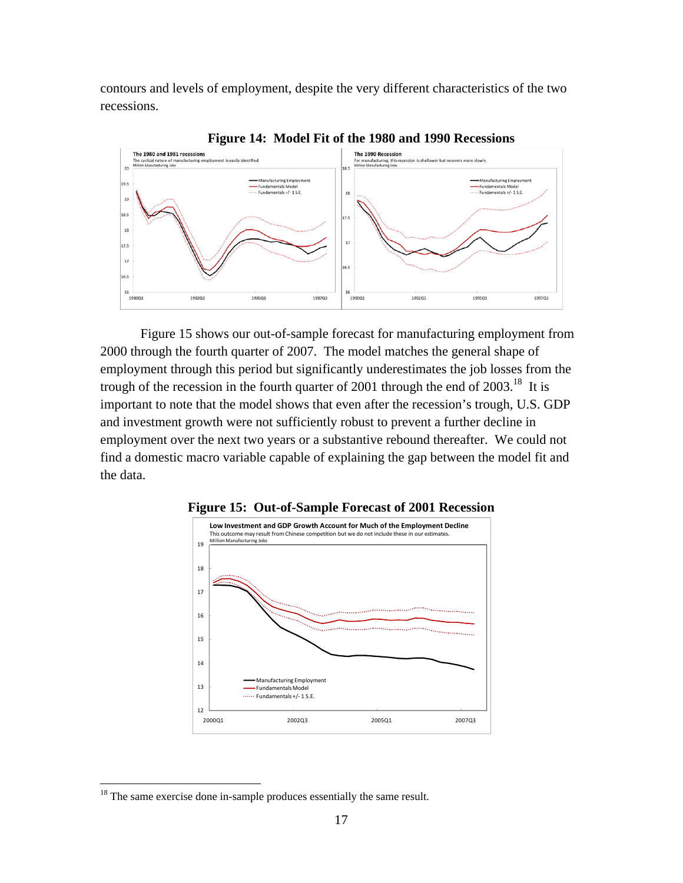contours and levels of employment, despite the very different characteristics of the two recessions.



**Figure 14: Model Fit of the 1980 and 1990 Recessions** 

Figure 15 shows our out-of-sample forecast for manufacturing employment from 2000 through the fourth quarter of 2007. The model matches the general shape of employment through this period but significantly underestimates the job losses from the trough of the recession in the fourth quarter of 2001 through the end of  $2003$ .<sup>18</sup> It is important to note that the model shows that even after the recession's trough, U.S. GDP and investment growth were not sufficiently robust to prevent a further decline in employment over the next two years or a substantive rebound thereafter. We could not find a domestic macro variable capable of explaining the gap between the model fit and the data.



**Figure 15: Out-of-Sample Forecast of 2001 Recession** 

 $\overline{a}$ 

 $18$ <sup>18</sup> The same exercise done in-sample produces essentially the same result.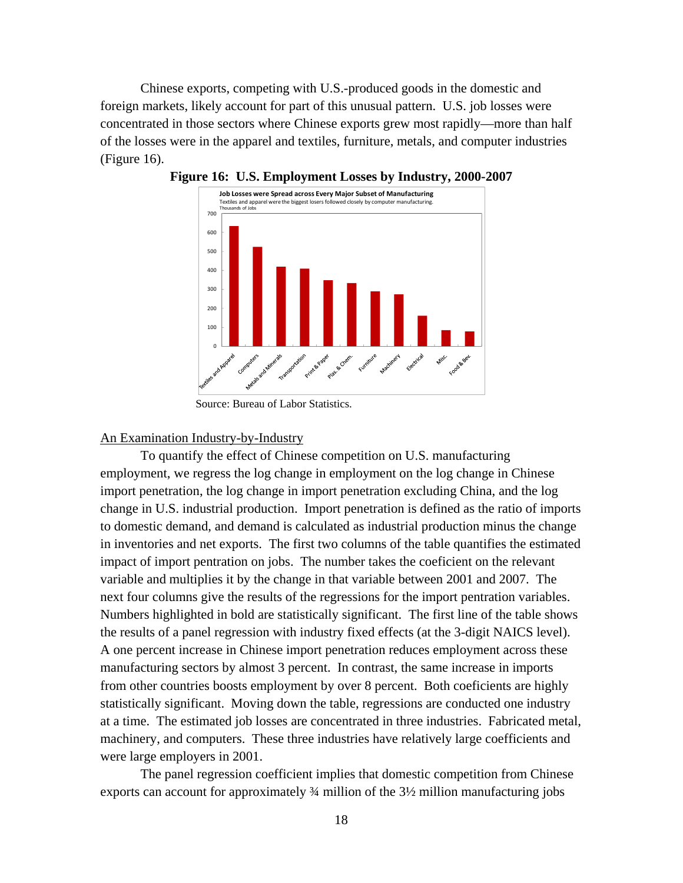Chinese exports, competing with U.S.-produced goods in the domestic and foreign markets, likely account for part of this unusual pattern. U.S. job losses were concentrated in those sectors where Chinese exports grew most rapidly—more than half of the losses were in the apparel and textiles, furniture, metals, and computer industries (Figure 16).



**Figure 16: U.S. Employment Losses by Industry, 2000-2007** 

## An Examination Industry-by-Industry

To quantify the effect of Chinese competition on U.S. manufacturing employment, we regress the log change in employment on the log change in Chinese import penetration, the log change in import penetration excluding China, and the log change in U.S. industrial production. Import penetration is defined as the ratio of imports to domestic demand, and demand is calculated as industrial production minus the change in inventories and net exports. The first two columns of the table quantifies the estimated impact of import pentration on jobs. The number takes the coeficient on the relevant variable and multiplies it by the change in that variable between 2001 and 2007. The next four columns give the results of the regressions for the import pentration variables. Numbers highlighted in bold are statistically significant. The first line of the table shows the results of a panel regression with industry fixed effects (at the 3-digit NAICS level). A one percent increase in Chinese import penetration reduces employment across these manufacturing sectors by almost 3 percent. In contrast, the same increase in imports from other countries boosts employment by over 8 percent. Both coeficients are highly statistically significant. Moving down the table, regressions are conducted one industry at a time. The estimated job losses are concentrated in three industries. Fabricated metal, machinery, and computers. These three industries have relatively large coefficients and were large employers in 2001.

The panel regression coefficient implies that domestic competition from Chinese exports can account for approximately ¾ million of the 3½ million manufacturing jobs

Source: Bureau of Labor Statistics.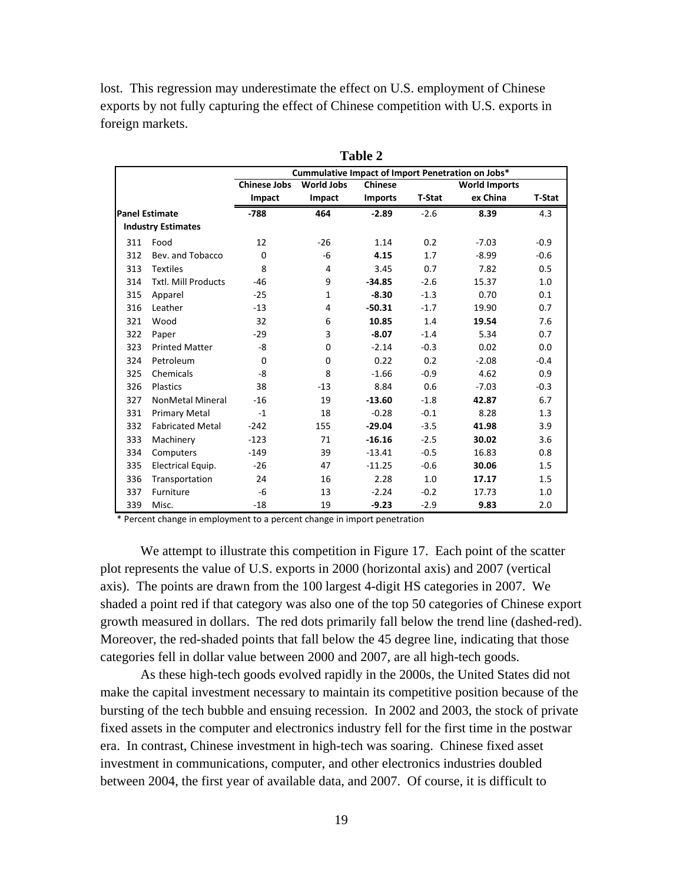lost. This regression may underestimate the effect on U.S. employment of Chinese exports by not fully capturing the effect of Chinese competition with U.S. exports in foreign markets.

|                       |                            | Cummulative Impact of Import Penetration on Jobs* |                   |                |               |                      |               |  |
|-----------------------|----------------------------|---------------------------------------------------|-------------------|----------------|---------------|----------------------|---------------|--|
|                       |                            | <b>Chinese Jobs</b>                               | <b>World Jobs</b> | Chinese        |               | <b>World Imports</b> |               |  |
|                       |                            | Impact                                            | Impact            | <b>Imports</b> | <b>T-Stat</b> | ex China             | <b>T-Stat</b> |  |
| <b>Panel Estimate</b> |                            | $-788$                                            | 464               | $-2.89$        | $-2.6$        | 8.39                 | 4.3           |  |
|                       | <b>Industry Estimates</b>  |                                                   |                   |                |               |                      |               |  |
| 311                   | Food                       | 12                                                | $-26$             | 1.14           | 0.2           | $-7.03$              | $-0.9$        |  |
| 312                   | Bev. and Tobacco           | $\mathbf 0$                                       | -6                | 4.15           | 1.7           | $-8.99$              | $-0.6$        |  |
| 313                   | <b>Textiles</b>            | 8                                                 | 4                 | 3.45           | 0.7           | 7.82                 | 0.5           |  |
| 314                   | <b>Txtl. Mill Products</b> | $-46$                                             | 9                 | $-34.85$       | $-2.6$        | 15.37                | 1.0           |  |
| 315                   | Apparel                    | $-25$                                             | 1                 | $-8.30$        | $-1.3$        | 0.70                 | 0.1           |  |
| 316                   | Leather                    | $-13$                                             | 4                 | $-50.31$       | $-1.7$        | 19.90                | 0.7           |  |
| 321                   | Wood                       | 32                                                | 6                 | 10.85          | 1.4           | 19.54                | 7.6           |  |
| 322                   | Paper                      | $-29$                                             | 3                 | $-8.07$        | $-1.4$        | 5.34                 | 0.7           |  |
| 323                   | <b>Printed Matter</b>      | -8                                                | 0                 | $-2.14$        | $-0.3$        | 0.02                 | 0.0           |  |
| 324                   | Petroleum                  | $\Omega$                                          | $\Omega$          | 0.22           | 0.2           | $-2.08$              | $-0.4$        |  |
| 325                   | Chemicals                  | -8                                                | 8                 | $-1.66$        | $-0.9$        | 4.62                 | 0.9           |  |
| 326                   | Plastics                   | 38                                                | $-13$             | 8.84           | 0.6           | $-7.03$              | $-0.3$        |  |
| 327                   | <b>NonMetal Mineral</b>    | $-16$                                             | 19                | $-13.60$       | $-1.8$        | 42.87                | 6.7           |  |
| 331                   | <b>Primary Metal</b>       | $-1$                                              | 18                | $-0.28$        | $-0.1$        | 8.28                 | 1.3           |  |
| 332                   | <b>Fabricated Metal</b>    | $-242$                                            | 155               | $-29.04$       | $-3.5$        | 41.98                | 3.9           |  |
| 333                   | Machinery                  | $-123$                                            | 71                | $-16.16$       | $-2.5$        | 30.02                | 3.6           |  |
| 334                   | Computers                  | $-149$                                            | 39                | $-13.41$       | $-0.5$        | 16.83                | 0.8           |  |
| 335                   | Electrical Equip.          | $-26$                                             | 47                | $-11.25$       | $-0.6$        | 30.06                | 1.5           |  |
| 336                   | Transportation             | 24                                                | 16                | 2.28           | 1.0           | 17.17                | 1.5           |  |
| 337                   | Furniture                  | -6                                                | 13                | $-2.24$        | $-0.2$        | 17.73                | 1.0           |  |
| 339                   | Misc.                      | $-18$                                             | 19                | $-9.23$        | $-2.9$        | 9.83                 | 2.0           |  |

**Table 2** 

\* Percent change in employment to a percent change in import penetration

We attempt to illustrate this competition in Figure 17. Each point of the scatter plot represents the value of U.S. exports in 2000 (horizontal axis) and 2007 (vertical axis). The points are drawn from the 100 largest 4-digit HS categories in 2007. We shaded a point red if that category was also one of the top 50 categories of Chinese export growth measured in dollars. The red dots primarily fall below the trend line (dashed-red). Moreover, the red-shaded points that fall below the 45 degree line, indicating that those categories fell in dollar value between 2000 and 2007, are all high-tech goods.

As these high-tech goods evolved rapidly in the 2000s, the United States did not make the capital investment necessary to maintain its competitive position because of the bursting of the tech bubble and ensuing recession. In 2002 and 2003, the stock of private fixed assets in the computer and electronics industry fell for the first time in the postwar era. In contrast, Chinese investment in high-tech was soaring. Chinese fixed asset investment in communications, computer, and other electronics industries doubled between 2004, the first year of available data, and 2007. Of course, it is difficult to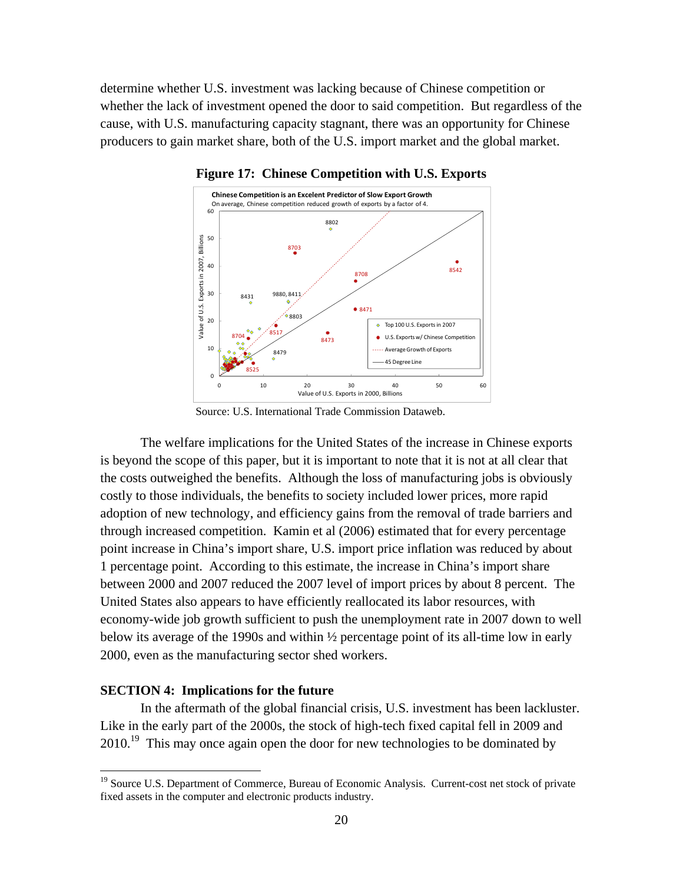determine whether U.S. investment was lacking because of Chinese competition or whether the lack of investment opened the door to said competition. But regardless of the cause, with U.S. manufacturing capacity stagnant, there was an opportunity for Chinese producers to gain market share, both of the U.S. import market and the global market.



**Figure 17: Chinese Competition with U.S. Exports** 

Source: U.S. International Trade Commission Dataweb.

The welfare implications for the United States of the increase in Chinese exports is beyond the scope of this paper, but it is important to note that it is not at all clear that the costs outweighed the benefits. Although the loss of manufacturing jobs is obviously costly to those individuals, the benefits to society included lower prices, more rapid adoption of new technology, and efficiency gains from the removal of trade barriers and through increased competition. Kamin et al (2006) estimated that for every percentage point increase in China's import share, U.S. import price inflation was reduced by about 1 percentage point. According to this estimate, the increase in China's import share between 2000 and 2007 reduced the 2007 level of import prices by about 8 percent. The United States also appears to have efficiently reallocated its labor resources, with economy-wide job growth sufficient to push the unemployment rate in 2007 down to well below its average of the 1990s and within ½ percentage point of its all-time low in early 2000, even as the manufacturing sector shed workers.

## **SECTION 4: Implications for the future**

 $\overline{a}$ 

In the aftermath of the global financial crisis, U.S. investment has been lackluster. Like in the early part of the 2000s, the stock of high-tech fixed capital fell in 2009 and  $2010.<sup>19</sup>$  This may once again open the door for new technologies to be dominated by

<sup>&</sup>lt;sup>19</sup> Source U.S. Department of Commerce, Bureau of Economic Analysis. Current-cost net stock of private fixed assets in the computer and electronic products industry.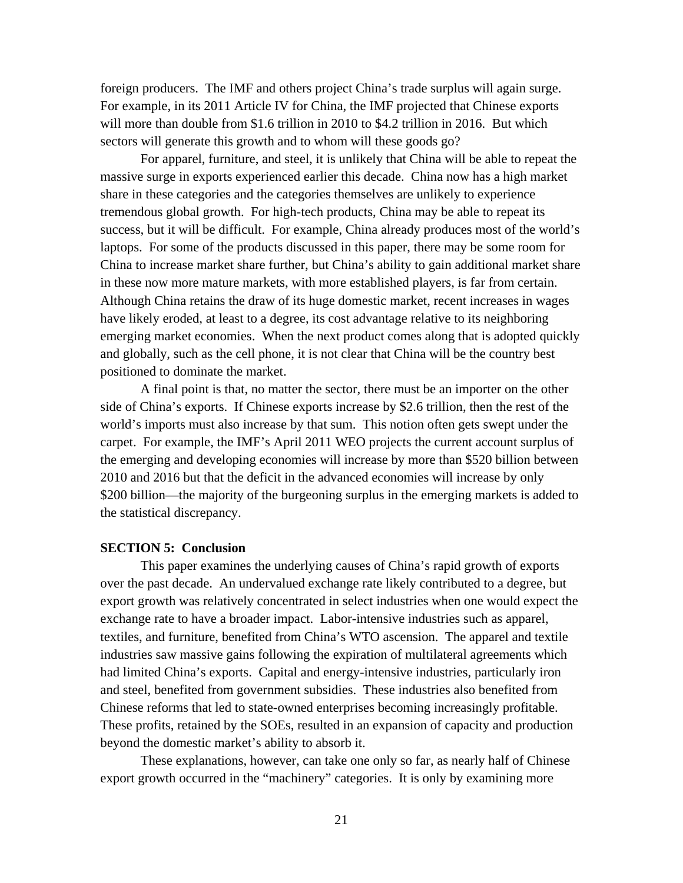foreign producers. The IMF and others project China's trade surplus will again surge. For example, in its 2011 Article IV for China, the IMF projected that Chinese exports will more than double from \$1.6 trillion in 2010 to \$4.2 trillion in 2016. But which sectors will generate this growth and to whom will these goods go?

For apparel, furniture, and steel, it is unlikely that China will be able to repeat the massive surge in exports experienced earlier this decade. China now has a high market share in these categories and the categories themselves are unlikely to experience tremendous global growth.For high-tech products, China may be able to repeat its success, but it will be difficult. For example, China already produces most of the world's laptops. For some of the products discussed in this paper, there may be some room for China to increase market share further, but China's ability to gain additional market share in these now more mature markets, with more established players, is far from certain. Although China retains the draw of its huge domestic market, recent increases in wages have likely eroded, at least to a degree, its cost advantage relative to its neighboring emerging market economies. When the next product comes along that is adopted quickly and globally, such as the cell phone, it is not clear that China will be the country best positioned to dominate the market.

A final point is that, no matter the sector, there must be an importer on the other side of China's exports. If Chinese exports increase by \$2.6 trillion, then the rest of the world's imports must also increase by that sum. This notion often gets swept under the carpet. For example, the IMF's April 2011 WEO projects the current account surplus of the emerging and developing economies will increase by more than \$520 billion between 2010 and 2016 but that the deficit in the advanced economies will increase by only \$200 billion—the majority of the burgeoning surplus in the emerging markets is added to the statistical discrepancy.

## **SECTION 5: Conclusion**

This paper examines the underlying causes of China's rapid growth of exports over the past decade. An undervalued exchange rate likely contributed to a degree, but export growth was relatively concentrated in select industries when one would expect the exchange rate to have a broader impact. Labor-intensive industries such as apparel, textiles, and furniture, benefited from China's WTO ascension. The apparel and textile industries saw massive gains following the expiration of multilateral agreements which had limited China's exports. Capital and energy-intensive industries, particularly iron and steel, benefited from government subsidies. These industries also benefited from Chinese reforms that led to state-owned enterprises becoming increasingly profitable. These profits, retained by the SOEs, resulted in an expansion of capacity and production beyond the domestic market's ability to absorb it.

These explanations, however, can take one only so far, as nearly half of Chinese export growth occurred in the "machinery" categories. It is only by examining more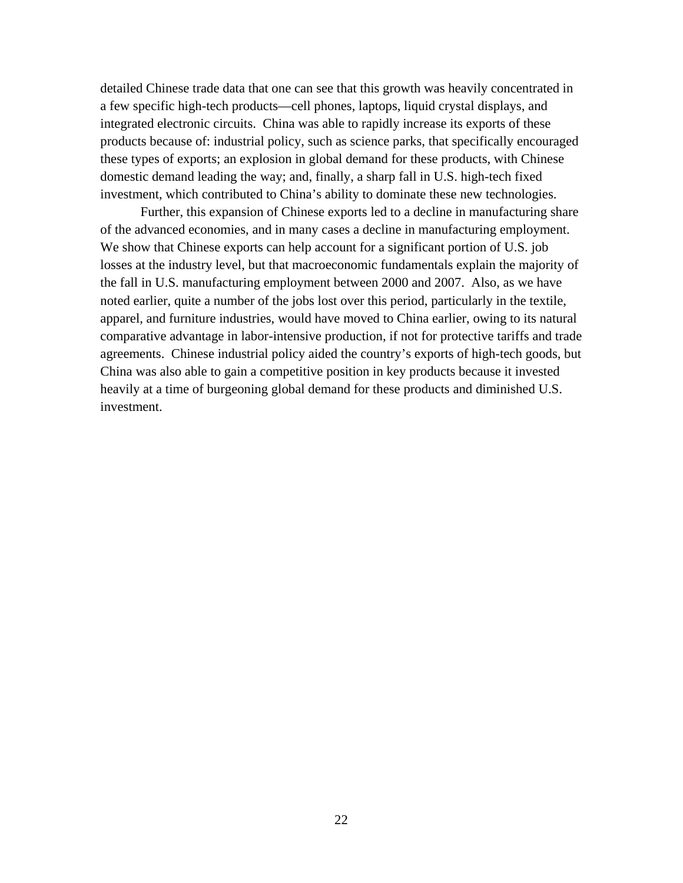detailed Chinese trade data that one can see that this growth was heavily concentrated in a few specific high-tech products—cell phones, laptops, liquid crystal displays, and integrated electronic circuits. China was able to rapidly increase its exports of these products because of: industrial policy, such as science parks, that specifically encouraged these types of exports; an explosion in global demand for these products, with Chinese domestic demand leading the way; and, finally, a sharp fall in U.S. high-tech fixed investment, which contributed to China's ability to dominate these new technologies.

Further, this expansion of Chinese exports led to a decline in manufacturing share of the advanced economies, and in many cases a decline in manufacturing employment. We show that Chinese exports can help account for a significant portion of U.S. job losses at the industry level, but that macroeconomic fundamentals explain the majority of the fall in U.S. manufacturing employment between 2000 and 2007. Also, as we have noted earlier, quite a number of the jobs lost over this period, particularly in the textile, apparel, and furniture industries, would have moved to China earlier, owing to its natural comparative advantage in labor-intensive production, if not for protective tariffs and trade agreements. Chinese industrial policy aided the country's exports of high-tech goods, but China was also able to gain a competitive position in key products because it invested heavily at a time of burgeoning global demand for these products and diminished U.S. investment.